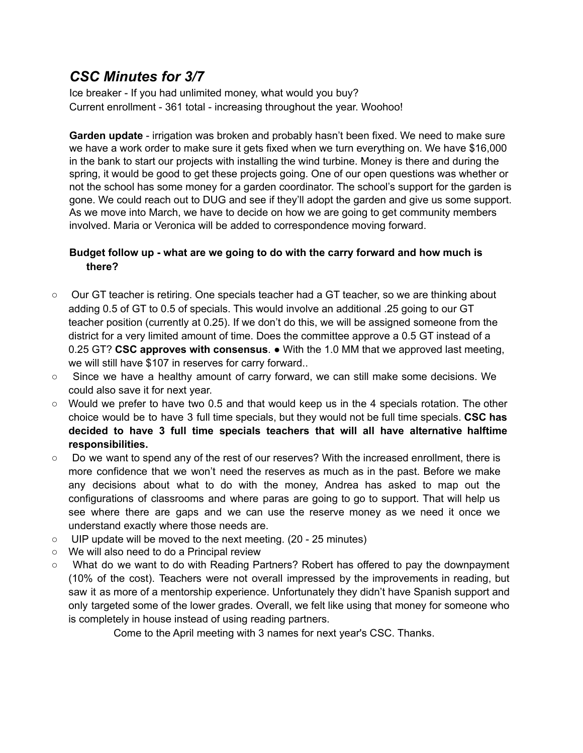## *CSC Minutes for 3/7*

Ice breaker - If you had unlimited money, what would you buy? Current enrollment - 361 total - increasing throughout the year. Woohoo!

**Garden update** - irrigation was broken and probably hasn't been fixed. We need to make sure we have a work order to make sure it gets fixed when we turn everything on. We have \$16,000 in the bank to start our projects with installing the wind turbine. Money is there and during the spring, it would be good to get these projects going. One of our open questions was whether or not the school has some money for a garden coordinator. The school's support for the garden is gone. We could reach out to DUG and see if they'll adopt the garden and give us some support. As we move into March, we have to decide on how we are going to get community members involved. Maria or Veronica will be added to correspondence moving forward.

## **Budget follow up - what are we going to do with the carry forward and how much is there?**

- Our GT teacher is retiring. One specials teacher had a GT teacher, so we are thinking about adding 0.5 of GT to 0.5 of specials. This would involve an additional .25 going to our GT teacher position (currently at 0.25). If we don't do this, we will be assigned someone from the district for a very limited amount of time. Does the committee approve a 0.5 GT instead of a 0.25 GT? **CSC approves with consensus**. ● With the 1.0 MM that we approved last meeting, we will still have \$107 in reserves for carry forward..
- Since we have a healthy amount of carry forward, we can still make some decisions. We could also save it for next year.
- $\circ$  Would we prefer to have two 0.5 and that would keep us in the 4 specials rotation. The other choice would be to have 3 full time specials, but they would not be full time specials. **CSC has decided to have 3 full time specials teachers that will all have alternative halftime responsibilities.**
- Do we want to spend any of the rest of our reserves? With the increased enrollment, there is more confidence that we won't need the reserves as much as in the past. Before we make any decisions about what to do with the money, Andrea has asked to map out the configurations of classrooms and where paras are going to go to support. That will help us see where there are gaps and we can use the reserve money as we need it once we understand exactly where those needs are.
- UIP update will be moved to the next meeting. (20 25 minutes)
- We will also need to do a Principal review
- What do we want to do with Reading Partners? Robert has offered to pay the downpayment (10% of the cost). Teachers were not overall impressed by the improvements in reading, but saw it as more of a mentorship experience. Unfortunately they didn't have Spanish support and only targeted some of the lower grades. Overall, we felt like using that money for someone who is completely in house instead of using reading partners.

Come to the April meeting with 3 names for next year's CSC. Thanks.